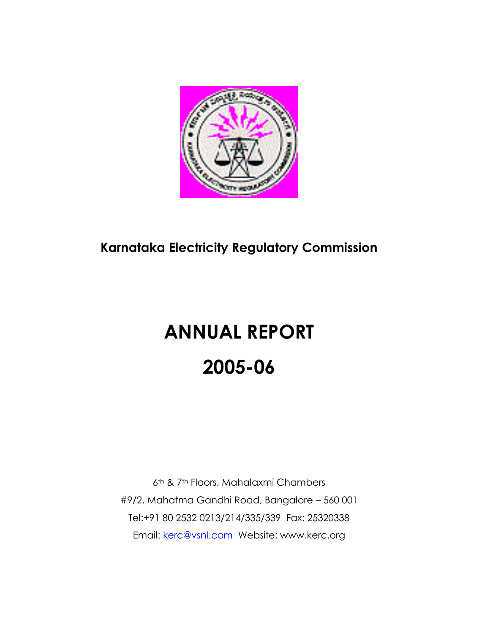

## **Karnataka Electricity Regulatory Commission**

# **ANNUAL REPORT 2005-06**

6th & 7th Floors, Mahalaxmi Chambers #9/2, Mahatma Gandhi Road, Bangalore – 560 001 Tel:+91 80 2532 0213/214/335/339 Fax: 25320338 Email: [kerc@vsnl.com](mailto:kerc@vsnl.com) Website: www.kerc.org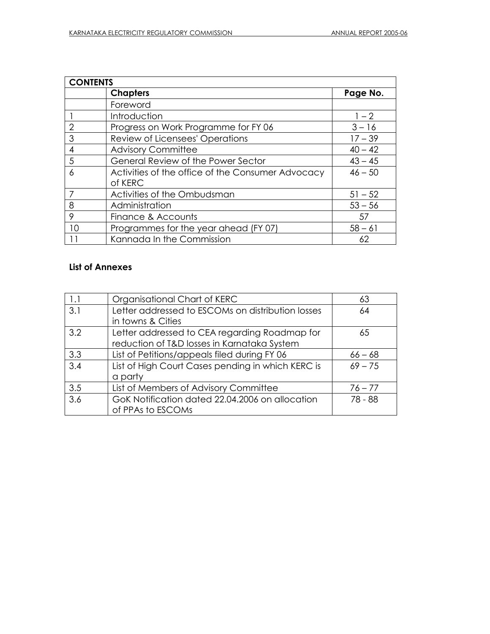| <b>CONTENTS</b> |                                                              |           |
|-----------------|--------------------------------------------------------------|-----------|
|                 | <b>Chapters</b>                                              | Page No.  |
|                 | Foreword                                                     |           |
|                 | Introduction                                                 | $1 - 2$   |
| 2               | Progress on Work Programme for FY 06                         | $3 - 16$  |
| 3               | Review of Licensees' Operations                              | $17 - 39$ |
| 4               | <b>Advisory Committee</b>                                    | $40 - 42$ |
| 5               | General Review of the Power Sector                           | $43 - 45$ |
| 6               | Activities of the office of the Consumer Advocacy<br>of KERC | $46 - 50$ |
|                 | Activities of the Ombudsman                                  | $51 - 52$ |
| 8               | Administration                                               | $53 - 56$ |
| 9               | Finance & Accounts                                           | 57        |
| 10              | Programmes for the year ahead (FY 07)                        | $58 - 61$ |
|                 | Kannada In the Commission                                    | 62        |

#### **List of Annexes**

| 1.1 | Organisational Chart of KERC                      | 63        |
|-----|---------------------------------------------------|-----------|
| 3.1 | Letter addressed to ESCOMs on distribution losses | 64        |
|     | in towns & Cities                                 |           |
| 3.2 | Letter addressed to CEA regarding Roadmap for     | 65        |
|     | reduction of T&D losses in Karnataka System       |           |
| 3.3 | List of Petitions/appeals filed during FY 06      | $66 - 68$ |
| 3.4 | List of High Court Cases pending in which KERC is | $69 - 75$ |
|     | a party                                           |           |
| 3.5 | List of Members of Advisory Committee             | $76 - 77$ |
| 3.6 | GoK Notification dated 22.04.2006 on allocation   | 78 - 88   |
|     | of PPAs to ESCOMs                                 |           |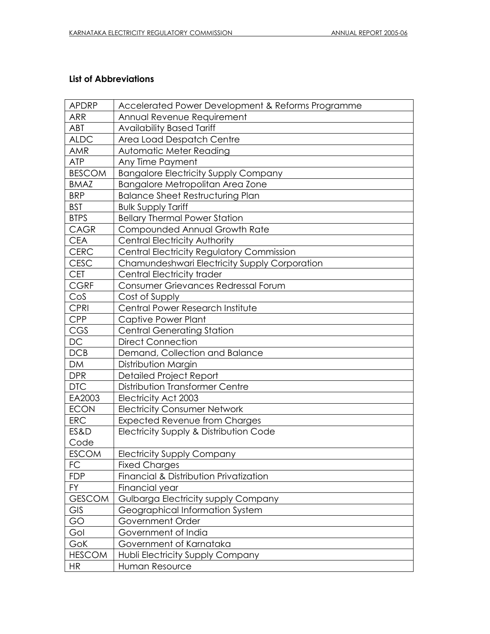#### **List of Abbreviations**

| <b>APDRP</b>  | Accelerated Power Development & Reforms Programme |
|---------------|---------------------------------------------------|
| <b>ARR</b>    | Annual Revenue Requirement                        |
| ABT           | <b>Availability Based Tariff</b>                  |
| <b>ALDC</b>   | Area Load Despatch Centre                         |
| AMR           | <b>Automatic Meter Reading</b>                    |
| <b>ATP</b>    | Any Time Payment                                  |
| <b>BESCOM</b> | <b>Bangalore Electricity Supply Company</b>       |
| <b>BMAZ</b>   | Bangalore Metropolitan Area Zone                  |
| <b>BRP</b>    | <b>Balance Sheet Restructuring Plan</b>           |
| <b>BST</b>    | <b>Bulk Supply Tariff</b>                         |
| <b>BTPS</b>   | <b>Bellary Thermal Power Station</b>              |
| CAGR          | Compounded Annual Growth Rate                     |
| <b>CEA</b>    | Central Electricity Authority                     |
| CERC          | <b>Central Electricity Regulatory Commission</b>  |
| <b>CESC</b>   | Chamundeshwari Electricity Supply Corporation     |
| <b>CET</b>    | <b>Central Electricity trader</b>                 |
| <b>CGRF</b>   | Consumer Grievances Redressal Forum               |
| CoS           | Cost of Supply                                    |
| <b>CPRI</b>   | Central Power Research Institute                  |
| <b>CPP</b>    | Captive Power Plant                               |
| CGS           | <b>Central Generating Station</b>                 |
| DC            | <b>Direct Connection</b>                          |
| DCB           | Demand, Collection and Balance                    |
| <b>DM</b>     | Distribution Margin                               |
| <b>DPR</b>    | <b>Detailed Project Report</b>                    |
| <b>DTC</b>    | Distribution Transformer Centre                   |
| EA2003        | Electricity Act 2003                              |
| <b>ECON</b>   | <b>Electricity Consumer Network</b>               |
| <b>ERC</b>    | <b>Expected Revenue from Charges</b>              |
| ES&D          | Electricity Supply & Distribution Code            |
| Code          |                                                   |
| <b>ESCOM</b>  | <b>Electricity Supply Company</b>                 |
| FC            | <b>Fixed Charges</b>                              |
| <b>FDP</b>    | Financial & Distribution Privatization            |
| <b>FY</b>     | Financial year                                    |
| <b>GESCOM</b> | Gulbarga Electricity supply Company               |
| GIS           | Geographical Information System                   |
| GO            | Government Order                                  |
| Gol           | Government of India                               |
| GoK           | Government of Karnataka                           |
| <b>HESCOM</b> | Hubli Electricity Supply Company                  |
| <b>HR</b>     | Human Resource                                    |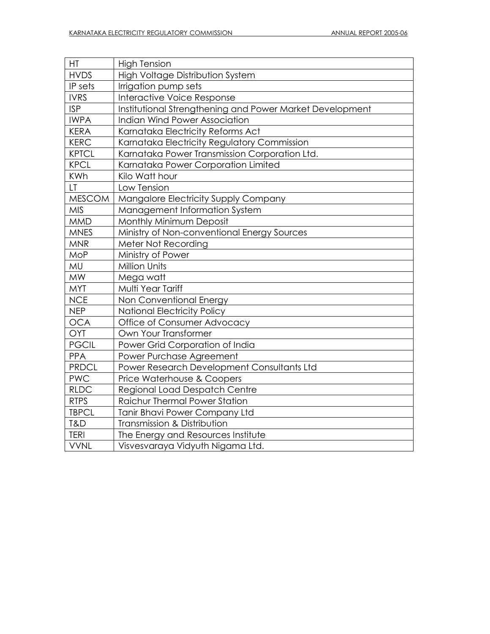| HT            | <b>High Tension</b>                                      |
|---------------|----------------------------------------------------------|
| <b>HVDS</b>   | High Voltage Distribution System                         |
| IP sets       | Irrigation pump sets                                     |
| <b>IVRS</b>   | Interactive Voice Response                               |
| <b>ISP</b>    | Institutional Strengthening and Power Market Development |
| <b>IWPA</b>   | Indian Wind Power Association                            |
| <b>KERA</b>   | Karnataka Electricity Reforms Act                        |
| <b>KERC</b>   | Karnataka Electricity Regulatory Commission              |
| <b>KPTCL</b>  | Karnataka Power Transmission Corporation Ltd.            |
| <b>KPCL</b>   | Karnataka Power Corporation Limited                      |
| <b>KWh</b>    | Kilo Watt hour                                           |
| LT.           | Low Tension                                              |
| <b>MESCOM</b> | Mangalore Electricity Supply Company                     |
| <b>MIS</b>    | Management Information System                            |
| <b>MMD</b>    | Monthly Minimum Deposit                                  |
| <b>MNES</b>   | Ministry of Non-conventional Energy Sources              |
| <b>MNR</b>    | Meter Not Recording                                      |
| <b>MoP</b>    | Ministry of Power                                        |
| MU            | Million Units                                            |
| <b>MW</b>     | Mega watt                                                |
| <b>MYT</b>    | Multi Year Tariff                                        |
| <b>NCE</b>    | Non Conventional Energy                                  |
| <b>NEP</b>    | <b>National Electricity Policy</b>                       |
| <b>OCA</b>    | Office of Consumer Advocacy                              |
| OYT           | Own Your Transformer                                     |
| <b>PGCIL</b>  | Power Grid Corporation of India                          |
| <b>PPA</b>    | Power Purchase Agreement                                 |
| <b>PRDCL</b>  | Power Research Development Consultants Ltd               |
| <b>PWC</b>    | Price Waterhouse & Coopers                               |
| <b>RLDC</b>   | <b>Regional Load Despatch Centre</b>                     |
| <b>RTPS</b>   | <b>Raichur Thermal Power Station</b>                     |
| <b>TBPCL</b>  | Tanir Bhavi Power Company Ltd                            |
| T&D           | Transmission & Distribution                              |
| <b>TERI</b>   | The Energy and Resources Institute                       |
| <b>VVNL</b>   | Visvesvaraya Vidyuth Nigama Ltd.                         |